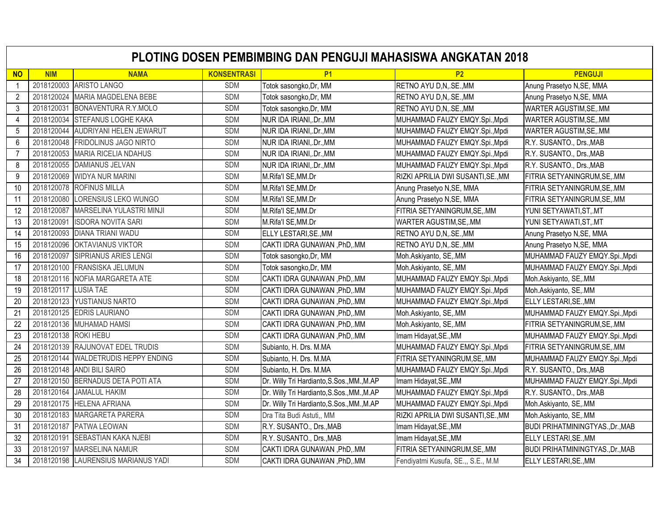|                | <b>PLOTING DOSEN PEMBIMBING DAN PENGUJI MAHASISWA ANGKATAN 2018</b> |                                     |                    |                                            |                                     |                                         |  |  |
|----------------|---------------------------------------------------------------------|-------------------------------------|--------------------|--------------------------------------------|-------------------------------------|-----------------------------------------|--|--|
| <b>NO</b>      | <b>NIM</b>                                                          | <b>NAMA</b>                         | <b>KONSENTRASI</b> | <b>P1</b>                                  | <b>P2</b>                           | <b>PENGUJI</b>                          |  |  |
| $\mathbf{1}$   |                                                                     | 2018120003 ARISTO LANGO             | <b>SDM</b>         | Totok sasongko, Dr, MM                     | RETNO AYU D,N, .SE., MM             | Anung Prasetyo N, SE, MMA               |  |  |
| $\overline{2}$ | 2018120024                                                          | MARIA MAGDELENA BEBE                | <b>SDM</b>         | Totok sasongko, Dr, MM                     | RETNO AYU D,N,.SE.,MM               | Anung Prasetyo N, SE, MMA               |  |  |
| 3              | 2018120031                                                          | BONAVENTURA R.Y.MOLO                | <b>SDM</b>         | Totok sasongko, Dr, MM                     | RETNO AYU D,N,.SE.,MM               | WARTER AGUSTIM, SE, .MM                 |  |  |
| 4              | 2018120034                                                          | STEFANUS LOGHE KAKA                 | <b>SDM</b>         | NUR IDA IRIANI, .Dr., MM                   | MUHAMMAD FAUZY EMQY.Spi., Mpdi      | WARTER AGUSTIM, SE, .MM                 |  |  |
| 5              | 2018120044                                                          | AUDRIYANI HELEN JEWARUT             | <b>SDM</b>         | NUR IDA IRIANI, .Dr., MM                   | MUHAMMAD FAUZY EMQY.Spi., Mpdi      | WARTER AGUSTIM, SE, .MM                 |  |  |
| 6              | 2018120048                                                          | <b>FRIDOLINUS JAGO NIRTO</b>        | <b>SDM</b>         | NUR IDA IRIANI, .Dr., MM                   | MUHAMMAD FAUZY EMQY.Spi., Mpdi      | R.Y. SUSANTO., Drs., MAB                |  |  |
| $\overline{7}$ | 2018120053                                                          | <b>MARIA RICELIA NDAHUS</b>         | <b>SDM</b>         | NUR IDA IRIANI, Dr., MM                    | MUHAMMAD FAUZY EMQY.Spi., Mpdi      | R.Y. SUSANTO., Drs., MAB                |  |  |
| 8              |                                                                     | 2018120055 DAMIANUS JELVAN          | <b>SDM</b>         | NUR IDA IRIANI, .Dr., MM                   | MUHAMMAD FAUZY EMQY.Spi., Mpdi      | R.Y. SUSANTO., Drs., MAB                |  |  |
| 9              | 2018120069                                                          | <b>WIDYA NUR MARINI</b>             | <b>SDM</b>         | M.Rifa'l SE, MM.Dr                         | RIZKI APRILIA DWI SUSANTI, SE., MM  | FITRIA SETYANINGRUM, SE, MM             |  |  |
| 10             | 2018120078                                                          | <b>ROFINUS MILLA</b>                | <b>SDM</b>         | M.Rifa'l SE, MM.Dr                         | Anung Prasetyo N, SE, MMA           | FITRIA SETYANINGRUM, SE, MM             |  |  |
| 11             | 2018120080                                                          | LORENSIUS LEKO WUNGO                | <b>SDM</b>         | M.Rifa'l SE, MM.Dr                         | Anung Prasetyo N, SE, MMA           | FITRIA SETYANINGRUM, SE, MM             |  |  |
| 12             | 2018120087                                                          | MARSELINA YULASTRI MINJI            | <b>SDM</b>         | M.Rifa'l SE, MM.Dr                         | FITRIA SETYANINGRUM, SE, .MM        | YUNI SETYAWATI, ST, .MT                 |  |  |
| 13             | 2018120091                                                          | <b>ISDORA NOVITA SARI</b>           | <b>SDM</b>         | M.Rifa'l SE, MM.Dr                         | WARTER AGUSTIM, SE, MM              | YUNI SETYAWATI, ST, .MT                 |  |  |
| 14             | 2018120093                                                          | <b>DIANA TRIANI WADU</b>            | <b>SDM</b>         | ELLY LESTARI, SE., MM                      | RETNO AYU D,N,.SE.,MM               | Anung Prasetyo N, SE, MMA               |  |  |
| 15             | 2018120096                                                          | <b>OKTAVIANUS VIKTOR</b>            | <b>SDM</b>         | CAKTI IDRA GUNAWAN , PhD,.MM               | RETNO AYU D,N, SE., MM              | Anung Prasetyo N, SE, MMA               |  |  |
| 16             | 2018120097                                                          | SIPRIANUS ARIES LENGI               | <b>SDM</b>         | Totok sasongko, Dr, MM                     | Moh.Askiyanto, SE,.MM               | MUHAMMAD FAUZY EMQY.Spi., Mpdi          |  |  |
| 17             | 2018120100                                                          | <b>FRANSISKA JELUMUN</b>            | <b>SDM</b>         | Totok sasongko, Dr, MM                     | Moh.Askiyanto, SE,.MM               | MUHAMMAD FAUZY EMQY.Spi., Mpdi          |  |  |
| 18             | 2018120116                                                          | NOFIA MARGARETA ATE                 | <b>SDM</b>         | CAKTI IDRA GUNAWAN, PhD, MM                | MUHAMMAD FAUZY EMQY.Spi., Mpdi      | Moh.Askiyanto, SE,.MM                   |  |  |
| 19             | 2018120117                                                          | <b>LUSIA TAE</b>                    | <b>SDM</b>         | CAKTI IDRA GUNAWAN, PhD, MM                | MUHAMMAD FAUZY EMQY.Spi., Mpdi      | Moh.Askiyanto, SE, MM                   |  |  |
| 20             | 2018120123                                                          | YUSTIANUS NARTO                     | <b>SDM</b>         | CAKTI IDRA GUNAWAN , PhD, .MM              | MUHAMMAD FAUZY EMQY.Spi., Mpdi      | ELLY LESTARI, SE., MM                   |  |  |
| 21             |                                                                     | 2018120125 EDRIS LAURIANO           | <b>SDM</b>         | CAKTI IDRA GUNAWAN , PhD, .MM              | Moh.Askiyanto, SE,.MM               | MUHAMMAD FAUZY EMQY.Spi., Mpdi          |  |  |
| 22             |                                                                     | 2018120136 MUHAMAD HAMSI            | <b>SDM</b>         | CAKTI IDRA GUNAWAN, PhD, MM                | Moh.Askiyanto, SE,.MM               | FITRIA SETYANINGRUM, SE, MM             |  |  |
| 23             | 2018120138 ROKI HEBU                                                |                                     | <b>SDM</b>         | CAKTI IDRA GUNAWAN , PhD, .MM              | Imam Hidayat, SE., MM               | MUHAMMAD FAUZY EMQY.Spi., Mpdi          |  |  |
| 24             |                                                                     | 2018120139 RAJUNOVAT EDEL TRUDIS    | <b>SDM</b>         | Subianto, H. Drs. M.MA                     | MUHAMMAD FAUZY EMQY.Spi., Mpdi      | FITRIA SETYANINGRUM, SE, MM             |  |  |
| 25             |                                                                     | 2018120144 WALDETRUDIS HEPPY ENDING | <b>SDM</b>         | Subianto, H. Drs. M.MA                     | FITRIA SETYANINGRUM, SE, MM         | MUHAMMAD FAUZY EMQY.Spi., Mpdi          |  |  |
| 26             |                                                                     | 2018120148 ANDI BILI SAIRO          | <b>SDM</b>         | Subianto, H. Drs. M.MA                     | MUHAMMAD FAUZY EMQY.Spi., Mpdi      | R.Y. SUSANTO., Drs., MAB                |  |  |
| 27             |                                                                     | 2018120150 BERNADUS DETA POTI ATA   | <b>SDM</b>         | Dr. Willy Tri Hardianto, S.Sos., MM., M.AP | Imam Hidayat, SE., MM               | MUHAMMAD FAUZY EMQY.Spi., Mpdi          |  |  |
| 28             | 2018120164                                                          | <b>JAMALUL HAKIM</b>                | <b>SDM</b>         | Dr. Willy Tri Hardianto, S.Sos., MM., M.AP | MUHAMMAD FAUZY EMQY.Spi., Mpdi      | R.Y. SUSANTO., Drs., MAB                |  |  |
| 29             | 2018120175                                                          | <b>HELENA AFRIANA</b>               | <b>SDM</b>         | Dr. Willy Tri Hardianto, S.Sos., MM., M.AP | MUHAMMAD FAUZY EMQY.Spi., Mpdi      | Moh.Askiyanto, SE,.MM                   |  |  |
| 30             | 2018120183                                                          | MARGARETA PARERA                    | <b>SDM</b>         | Dra Tita Budi Astuti,, MM                  | RIZKI APRILIA DWI SUSANTI, SE., MM  | Moh.Askiyanto, SE,.MM                   |  |  |
| 31             | 2018120187                                                          | PATWA LEOWAN                        | <b>SDM</b>         | R.Y. SUSANTO., Drs., MAB                   | Imam Hidayat, SE., MM               | BUDI PRIHATMININGTYAS., Dr., MAB        |  |  |
| 32             | 2018120191                                                          | SEBASTIAN KAKA NJEBI                | SDM                | R.Y. SUSANTO., Drs., MAB                   | Imam Hidayat, SE., MM               | ELLY LESTARI, SE., MM                   |  |  |
| 33             | 2018120197                                                          | <b>MARSELINA NAMUR</b>              | <b>SDM</b>         | CAKTI IDRA GUNAWAN , PhD, .MM              | FITRIA SETYANINGRUM, SE, MM         | <b>BUDI PRIHATMININGTYAS., Dr., MAB</b> |  |  |
| 34             |                                                                     | 2018120198 LAURENSIUS MARIANUS YADI | <b>SDM</b>         | CAKTI IDRA GUNAWAN , PhD, .MM              | Fendiyatmi Kusufa, SE.,, S.E., M.M. | ELLY LESTARI, SE., MM                   |  |  |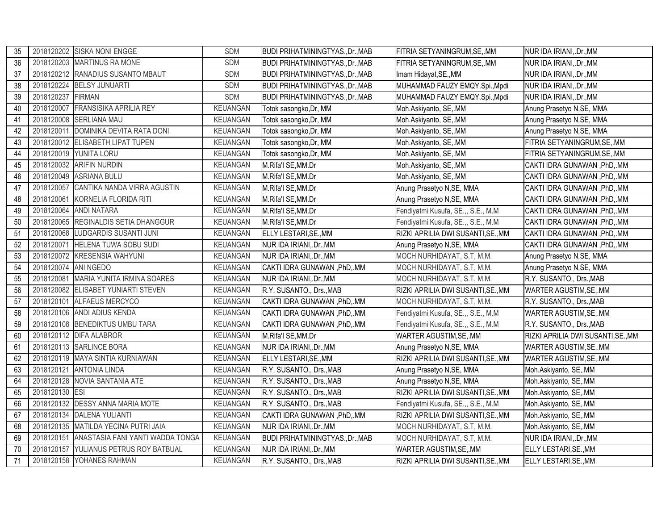| 35 |                | 2018120202 SISKA NONI ENGGE          | <b>SDM</b>      | <b>BUDI PRIHATMININGTYAS., Dr., MAB</b> | FITRIA SETYANINGRUM, SE, MM         | NUR IDA IRIANI, .Dr., MM           |
|----|----------------|--------------------------------------|-----------------|-----------------------------------------|-------------------------------------|------------------------------------|
| 36 |                | 2018120203 MARTINUS RA MONE          | <b>SDM</b>      | <b>BUDI PRIHATMININGTYAS., Dr., MAB</b> | FITRIA SETYANINGRUM, SE, MM         | NUR IDA IRIANI, .Dr., MM           |
| 37 |                | 2018120212 RANADIUS SUSANTO MBAUT    | <b>SDM</b>      | <b>BUDI PRIHATMININGTYAS., Dr., MAB</b> | Imam Hidayat, SE., MM               | NUR IDA IRIANI, .Dr., MM           |
| 38 | 2018120224     | <b>BELSY JUNUARTI</b>                | <b>SDM</b>      | <b>BUDI PRIHATMININGTYAS., Dr., MAB</b> | MUHAMMAD FAUZY EMQY.Spi., Mpdi      | NUR IDA IRIANI,.Dr., MM            |
| 39 | 2018120237     | <b>FIRMAN</b>                        | <b>SDM</b>      | <b>BUDI PRIHATMININGTYAS., Dr., MAB</b> | MUHAMMAD FAUZY EMQY.Spi., Mpdi      | NUR IDA IRIANI, .Dr., MM           |
| 40 | 2018120007     | <b>FRANSISIKA APRILIA REY</b>        | <b>KEUANGAN</b> | Totok sasongko, Dr, MM                  | Moh.Askiyanto, SE,.MM               | Anung Prasetyo N, SE, MMA          |
| 41 | 2018120008     | <b>SERLIANA MAU</b>                  | <b>KEUANGAN</b> | Totok sasongko, Dr, MM                  | Moh.Askiyanto, SE,.MM               | Anung Prasetyo N, SE, MMA          |
| 42 | 2018120011     | DOMINIKA DEVITA RATA DONI            | <b>KEUANGAN</b> | Totok sasongko, Dr, MM                  | Moh.Askiyanto, SE,.MM               | Anung Prasetyo N, SE, MMA          |
| 43 |                | 2018120012 ELISABETH LIPAT TUPEN     | <b>KEUANGAN</b> | Totok sasongko, Dr, MM                  | Moh.Askiyanto, SE,.MM               | FITRIA SETYANINGRUM, SE, MM        |
| 44 |                | 2018120019 YUNITA LORU               | <b>KEUANGAN</b> | Totok sasongko, Dr, MM                  | Moh.Askiyanto, SE,.MM               | FITRIA SETYANINGRUM, SE, MM        |
| 45 |                | 2018120032 ARIFIN NURDIN             | <b>KEUANGAN</b> | M.Rifa'l SE, MM.Dr                      | Moh.Askiyanto, SE,.MM               | CAKTI IDRA GUNAWAN , PhD,.MM       |
| 46 |                | 2018120049 ASRIANA BULU              | <b>KEUANGAN</b> | M.Rifa'l SE, MM.Dr                      | Moh.Askiyanto, SE,.MM               | CAKTI IDRA GUNAWAN, PhD, MM        |
| 47 | 2018120057     | CANTIKA NANDA VIRRA AGUSTIN          | KEUANGAN        | M.Rifa'l SE, MM.Dr                      | Anung Prasetyo N, SE, MMA           | CAKTI IDRA GUNAWAN, PhD, MM        |
| 48 | 2018120061     | KORNELIA FLORIDA RITI                | <b>KEUANGAN</b> | M.Rifa'l SE, MM.Dr                      | Anung Prasetyo N, SE, MMA           | CAKTI IDRA GUNAWAN, PhD, MM        |
| 49 | 2018120064     | <b>ANDI NATARA</b>                   | <b>KEUANGAN</b> | M.Rifa'l SE, MM.Dr                      | Fendiyatmi Kusufa, SE.,, S.E., M.M  | CAKTI IDRA GUNAWAN , PhD, .MM      |
| 50 |                | 2018120065 REGINALDIS SETIA DHANGGUR | <b>KEUANGAN</b> | M.Rifa'l SE, MM.Dr                      | Fendiyatmi Kusufa, SE.,, S.E., M.M. | CAKTI IDRA GUNAWAN, PhD, MM        |
| 51 |                | 2018120068 LUDGARDIS SUSANTI JUNI    | <b>KEUANGAN</b> | ELLY LESTARI, SE., MM                   | RIZKI APRILIA DWI SUSANTI, SE., MM  | CAKTI IDRA GUNAWAN, PhD, MM        |
| 52 | 2018120071     | HELENA TUWA SOBU SUDI                | <b>KEUANGAN</b> | NUR IDA IRIANI, Dr., MM                 | Anung Prasetyo N, SE, MMA           | CAKTI IDRA GUNAWAN, PhD, MM        |
| 53 |                | 2018120072 KRESENSIA WAHYUNI         | <b>KEUANGAN</b> | NUR IDA IRIANI, Dr., MM                 | MOCH NURHIDAYAT, S.T, M.M.          | Anung Prasetyo N, SE, MMA          |
| 54 | 2018120074     | ANI NGEDO                            | <b>KEUANGAN</b> | CAKTI IDRA GUNAWAN, PhD, MM             | MOCH NURHIDAYAT, S.T, M.M.          | Anung Prasetyo N, SE, MMA          |
| 55 | 2018120081     | MARIA YUNITA IRMINA SOARES           | KEUANGAN        | NUR IDA IRIANI,.Dr., MM                 | MOCH NURHIDAYAT, S.T, M.M.          | R.Y. SUSANTO., Drs., MAB           |
| 56 |                | 2018120082 ELISABET YUNIARTI STEVEN  | KEUANGAN        | R.Y. SUSANTO., Drs., MAB                | RIZKI APRILIA DWI SUSANTI, SE., MM  | WARTER AGUSTIM, SE, MM             |
| 57 |                | 2018120101 ALFAEUS MERCYCO           | <b>KEUANGAN</b> | CAKTI IDRA GUNAWAN , PhD, .MM           | MOCH NURHIDAYAT, S.T, M.M.          | R.Y. SUSANTO., Drs., MAB           |
| 58 |                | 2018120106 ANDI ADIUS KENDA          | KEUANGAN        | CAKTI IDRA GUNAWAN, PhD, MM             | Fendiyatmi Kusufa, SE.,, S.E., M.M  | WARTER AGUSTIM, SE, .MM            |
| 59 |                | 2018120108 BENEDIKTUS UMBU TARA      | <b>KEUANGAN</b> | CAKTI IDRA GUNAWAN, PhD, MM             | Fendiyatmi Kusufa, SE.,, S.E., M.M  | R.Y. SUSANTO., Drs., MAB           |
| 60 |                | 2018120112 DIFA ALABROR              | KEUANGAN        | M.Rifa'l SE, MM.Dr                      | WARTER AGUSTIM, SE, .MM             | RIZKI APRILIA DWI SUSANTI, SE., MM |
| 61 |                | 2018120113 SARLINCE BORA             | KEUANGAN        | NUR IDA IRIANI, Dr., MM                 | Anung Prasetyo N, SE, MMA           | WARTER AGUSTIM, SE, .MM            |
| 62 |                | 2018120119 MAYA SINTIA KURNIAWAN     | <b>KEUANGAN</b> | ELLY LESTARI, SE., MM                   | RIZKI APRILIA DWI SUSANTI, SE., MM  | WARTER AGUSTIM, SE, .MM            |
| 63 |                | 2018120121 ANTONIA LINDA             | <b>KEUANGAN</b> | R.Y. SUSANTO., Drs., MAB                | Anung Prasetyo N, SE, MMA           | Moh.Askiyanto, SE,.MM              |
| 64 |                | 2018120128 NOVIA SANTANIA ATE        | <b>KEUANGAN</b> | R.Y. SUSANTO., Drs., MAB                | Anung Prasetyo N, SE, MMA           | Moh.Askiyanto, SE, MM              |
| 65 | 2018120130 ESI |                                      | KEUANGAN        | R.Y. SUSANTO., Drs., MAB                | RIZKI APRILIA DWI SUSANTI, SE., MM  | Moh.Askiyanto, SE, MM              |
| 66 | 2018120132     | <b>DESSY ANNA MARIA MOTE</b>         | <b>KEUANGAN</b> | R.Y. SUSANTO., Drs., MAB                | Fendiyatmi Kusufa, SE.,, S.E., M.M  | Moh.Askiyanto, SE,.MM              |
| 67 |                | 2018120134 DALENA YULIANTI           | KEUANGAN        | CAKTI IDRA GUNAWAN, PhD, MM             | RIZKI APRILIA DWI SUSANTI, SE., MM  | Moh.Askiyanto, SE,.MM              |
| 68 |                | 2018120135 MATILDA YECINA PUTRI JAIA | KEUANGAN        | NUR IDA IRIANI, Dr., MM                 | MOCH NURHIDAYAT, S.T, M.M.          | Moh.Askiyanto, SE,.MM              |
| 69 | 2018120151     | ANASTASIA FANI YANTI WADDA TONGA     | <b>KEUANGAN</b> | <b>BUDI PRIHATMININGTYAS., Dr., MAB</b> | MOCH NURHIDAYAT, S.T, M.M.          | NUR IDA IRIANI,.Dr., MM            |
| 70 | 2018120157     | YULIANUS PETRUS ROY BATBUAL          | KEUANGAN        | NUR IDA IRIANI, Dr., MM                 | WARTER AGUSTIM, SE, MM              | ELLY LESTARI, SE., MM              |
| 71 |                | 2018120158 YOHANES RAHMAN            | KEUANGAN        | R.Y. SUSANTO., Drs., MAB                | RIZKI APRILIA DWI SUSANTI.SEMM      | ELLY LESTARI, SE., MM              |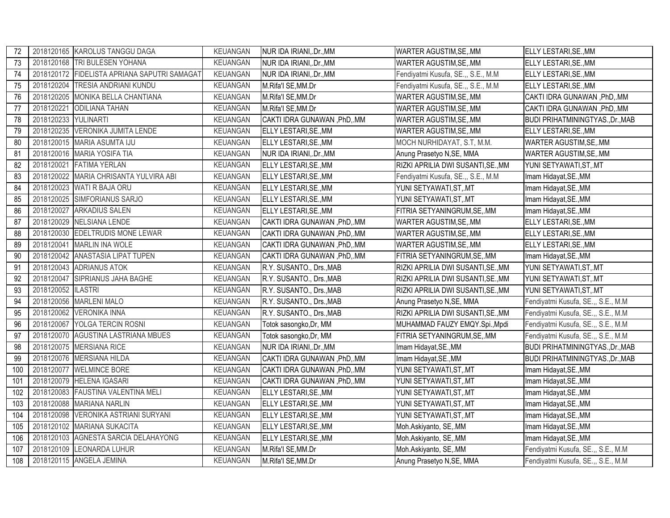| 72  |            | 2018120165 KAROLUS TANGGU DAGA               | KEUANGAN        | NUR IDA IRIANI, Dr., MM      | WARTER AGUSTIM, SE, MM              | ELLY LESTARI, SE., MM              |
|-----|------------|----------------------------------------------|-----------------|------------------------------|-------------------------------------|------------------------------------|
| 73  |            | 2018120168 TRI BULESEN YOHANA                | <b>KEUANGAN</b> | NUR IDA IRIANI, Dr., MM      | WARTER AGUSTIM, SE, .MM             | ELLY LESTARI, SE., MM              |
| 74  |            | 2018120172 FIDELISTA APRIANA SAPUTRI SAMAGAT | <b>KEUANGAN</b> | NUR IDA IRIANI, Dr., MM      | Fendiyatmi Kusufa, SE.,, S.E., M.M. | ELLY LESTARI, SE., MM              |
| 75  | 2018120204 | <b>TRESIA ANDRIANI KUNDU</b>                 | <b>KEUANGAN</b> | M.Rifa'l SE, MM.Dr           | Fendiyatmi Kusufa, SE.,, S.E., M.M. | ELLY LESTARI, SE., MM              |
| 76  |            | 2018120205 MONIKA BELLA CHANTIANA            | KEUANGAN        | M.Rifa'l SE, MM.Dr           | WARTER AGUSTIM, SE, MM              | CAKTI IDRA GUNAWAN, PhD,.MM        |
| 77  | 2018120221 | <b>ODILIANA TAHAN</b>                        | <b>KEUANGAN</b> | M.Rifa'l SE, MM.Dr           | WARTER AGUSTIM, SE, MM              | CAKTI IDRA GUNAWAN , PhD, .MM      |
| 78  | 2018120233 | YULINARTI                                    | KEUANGAN        | CAKTI IDRA GUNAWAN, PhD, MM  | WARTER AGUSTIM, SE, MM              | BUDI PRIHATMININGTYAS., Dr., MAB   |
| 79  | 2018120235 | VERONIKA JUMITA LENDE                        | <b>KEUANGAN</b> | ELLY LESTARI, SE., MM        | WARTER AGUSTIM, SE, MM              | ELLY LESTARI, SE., MM              |
| 80  |            | 2018120015 MARIA ASUMTA IJU                  | <b>KEUANGAN</b> | ELLY LESTARI, SE., MM        | MOCH NURHIDAYAT, S.T, M.M.          | WARTER AGUSTIM, SE, .MM            |
| 81  |            | 2018120016 MARIA YOSIFA TIA                  | KEUANGAN        | NUR IDA IRIANI, Dr., MM      | Anung Prasetyo N, SE, MMA           | WARTER AGUSTIM, SE, .MM            |
| 82  |            | 2018120021 FATIMA YERLAN                     | <b>KEUANGAN</b> | ELLY LESTARI, SE., MM        | RIZKI APRILIA DWI SUSANTI, SE., MM  | YUNI SETYAWATI, ST, .MT            |
| 83  |            | 2018120022 MARIA CHRISANTA YULVIRA ABI       | <b>KEUANGAN</b> | ELLY LESTARI, SE., MM        | Fendiyatmi Kusufa, SE.,, S.E., M.M. | Imam Hidayat, SE., MM              |
| 84  |            | 2018120023 WATI R BAJA ORU                   | <b>KEUANGAN</b> | ELLY LESTARI, SE., MM        | YUNI SETYAWATI,ST,.MT               | Imam Hidayat, SE., MM              |
| 85  |            | 2018120025 SIMFORIANUS SARJO                 | <b>KEUANGAN</b> | ELLY LESTARI, SE., MM        | YUNI SETYAWATI, ST, .MT             | Imam Hidayat, SE., MM              |
| 86  | 2018120027 | <b>ARKADIUS SALEN</b>                        | <b>KEUANGAN</b> | ELLY LESTARI, SE., MM        | FITRIA SETYANINGRUM, SE, MM         | Imam Hidayat, SE., MM              |
| 87  |            | 2018120029 NELSIANA LENDE                    | <b>KEUANGAN</b> | CAKTI IDRA GUNAWAN, PhD, MM  | WARTER AGUSTIM, SE, MM              | ELLY LESTARI, SE., MM              |
| 88  |            | 2018120030 EDELTRUDIS MONE LEWAR             | <b>KEUANGAN</b> | CAKTI IDRA GUNAWAN, PhD, MM  | WARTER AGUSTIM, SE, MM              | ELLY LESTARI, SE., MM              |
| 89  | 2018120041 | <b>MARLIN INA WOLE</b>                       | <b>KEUANGAN</b> | CAKTI IDRA GUNAWAN , PhD, MM | WARTER AGUSTIM, SE, MM              | ELLY LESTARI, SE., MM              |
| 90  |            | 2018120042 ANASTASIA LIPAT TUPEN             | <b>KEUANGAN</b> | CAKTI IDRA GUNAWAN, PhD, MM  | FITRIA SETYANINGRUM, SE, MM         | Imam Hidayat, SE., MM              |
| 91  |            | 2018120043 ADRIANUS ATOK                     | <b>KEUANGAN</b> | R.Y. SUSANTO., Drs., MAB     | RIZKI APRILIA DWI SUSANTI, SE., MM  | YUNI SETYAWATI, ST, .MT            |
| 92  | 2018120047 | SIPRIANUS JAHA BAGHE                         | <b>KEUANGAN</b> | R.Y. SUSANTO., Drs., MAB     | RIZKI APRILIA DWI SUSANTI, SE., MM  | YUNI SETYAWATI, ST, .MT            |
| 93  | 2018120052 | <b>ILASTRI</b>                               | <b>KEUANGAN</b> | R.Y. SUSANTO., Drs., MAB     | RIZKI APRILIA DWI SUSANTI, SE., MM  | YUNI SETYAWATI, ST, .MT            |
| 94  |            | 2018120056 MARLENI MALO                      | KEUANGAN        | R.Y. SUSANTO., Drs., MAB     | Anung Prasetyo N, SE, MMA           | Fendiyatmi Kusufa, SE.,, S.E., M.M |
| 95  |            | 2018120062 VERONIKA INNA                     | KEUANGAN        | R.Y. SUSANTO., Drs., MAB     | RIZKI APRILIA DWI SUSANTI, SE., MM  | Fendiyatmi Kusufa, SE.,, S.E., M.M |
| 96  |            | 2018120067 YOLGA TERCIN ROSNI                | KEUANGAN        | Totok sasongko, Dr, MM       | MUHAMMAD FAUZY EMQY.Spi., Mpdi      | Fendiyatmi Kusufa, SE.,, S.E., M.M |
| 97  |            | 2018120070 AGUSTINA LASTRIANA MBUES          | KEUANGAN        | Totok sasongko, Dr, MM       | FITRIA SETYANINGRUM, SE, MM         | Fendiyatmi Kusufa, SE.,, S.E., M.M |
| 98  |            | 2018120075 MERSIANA RICE                     | <b>KEUANGAN</b> | NUR IDA IRIANI, Dr., MM      | Imam Hidayat, SE., MM               | BUDI PRIHATMININGTYAS., Dr., MAB   |
| 99  | 2018120076 | <b>MERSIANA HILDA</b>                        | <b>KEUANGAN</b> | CAKTI IDRA GUNAWAN, PhD, MM  | Imam Hidayat, SE., MM               | BUDI PRIHATMININGTYAS., Dr., MAB   |
| 100 | 2018120077 | <b>WELMINCE BORE</b>                         | <b>KEUANGAN</b> | CAKTI IDRA GUNAWAN, PhD, MM  | YUNI SETYAWATI, ST, .MT             | Imam Hidayat, SE., MM              |
| 101 |            | 2018120079 HELENA IGASARI                    | <b>KEUANGAN</b> | CAKTI IDRA GUNAWAN, PhD, MM  | YUNI SETYAWATI, ST, .MT             | Imam Hidayat, SE., MM              |
| 102 |            | 2018120083 FAUSTINA VALENTINA MELI           | <b>KEUANGAN</b> | ELLY LESTARI, SE., MM        | YUNI SETYAWATI, ST, MT              | Imam Hidayat, SE., MM              |
| 103 |            | 2018120088 MARIANA NARLIN                    | <b>KEUANGAN</b> | ELLY LESTARI, SE., MM        | YUNI SETYAWATI, ST, .MT             | Imam Hidayat, SE., MM              |
| 104 | 2018120098 | <b>VERONIKA ASTRIANI SURYANI</b>             | KEUANGAN        | ELLY LESTARI, SE., MM        | YUNI SETYAWATI, ST, .MT             | Imam Hidayat, SE., MM              |
| 105 | 2018120102 | <b>MARIANA SUKACITA</b>                      | KEUANGAN        | ELLY LESTARI, SE., MM        | Moh.Askiyanto, SE,.MM               | Imam Hidayat, SE., MM              |
| 106 |            | 2018120103 AGNESTA SARCIA DELAHAYONG         | <b>KEUANGAN</b> | <b>ELLY LESTARI, SE., MM</b> | Moh.Askiyanto, SE,.MM               | Imam Hidayat, SE., MM              |
| 107 |            | 2018120109 LEONARDA LUHUR                    | KEUANGAN        | M.Rifa'l SE, MM.Dr           | Moh.Askiyanto, SE,.MM               | Fendiyatmi Kusufa, SE.,, S.E., M.M |
| 108 |            | 2018120115 ANGELA JEMINA                     | KEUANGAN        | M.Rifa'l SE, MM.Dr           | Anung Prasetyo N, SE, MMA           | Fendiyatmi Kusufa, SE.,, S.E., M.M |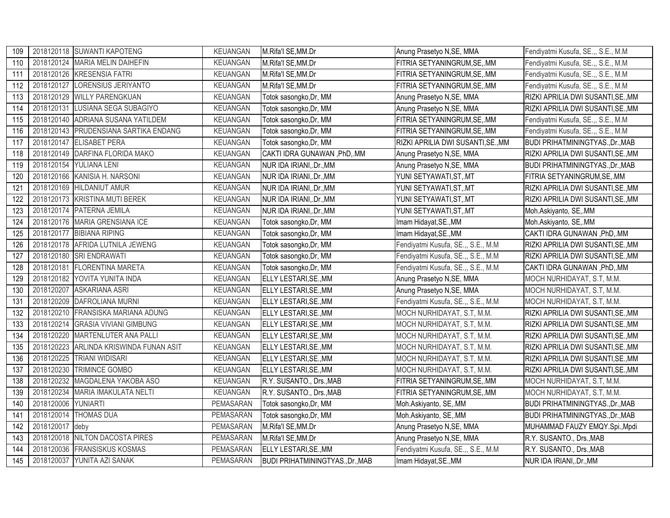| 109 |            | 2018120118 SUWANTI KAPOTENG           | KEUANGAN        | M.Rifa'l SE, MM.Dr                      | Anung Prasetyo N, SE, MMA          | Fendiyatmi Kusufa, SE.,, S.E., M.M.     |
|-----|------------|---------------------------------------|-----------------|-----------------------------------------|------------------------------------|-----------------------------------------|
| 110 |            | 2018120124 MARIA MELIN DAIHEFIN       | <b>KEUANGAN</b> | M.Rifa'l SE, MM.Dr                      | FITRIA SETYANINGRUM, SE, .MM       | Fendiyatmi Kusufa, SE.,, S.E., M.M      |
| 111 |            | 2018120126 KRESENSIA FATRI            | <b>KEUANGAN</b> | M.Rifa'l SE, MM.Dr                      | FITRIA SETYANINGRUM, SE, .MM       | Fendiyatmi Kusufa, SE.,, S.E., M.M      |
| 112 | 2018120127 | LORENSIUS JERIYANTO                   | <b>KEUANGAN</b> | M.Rifa'l SE, MM.Dr                      | FITRIA SETYANINGRUM, SE, .MM       | Fendiyatmi Kusufa, SE.,, S.E., M.M      |
| 113 | 2018120129 | <b>WILLY PARENGKUAN</b>               | <b>KEUANGAN</b> | Totok sasongko, Dr, MM                  | Anung Prasetyo N, SE, MMA          | RIZKI APRILIA DWI SUSANTI, SE., MM      |
| 114 | 2018120131 | LUSIANA SEGA SUBAGIYO                 | <b>KEUANGAN</b> | Totok sasongko, Dr, MM                  | Anung Prasetyo N, SE, MMA          | RIZKI APRILIA DWI SUSANTI, SE., MM      |
| 115 | 2018120140 | ADRIANA SUSANA YATILDEM               | <b>KEUANGAN</b> | Totok sasongko, Dr, MM                  | FITRIA SETYANINGRUM, SE, .MM       | Fendiyatmi Kusufa, SE.,, S.E., M.M      |
| 116 |            | 2018120143 PRUDENSIANA SARTIKA ENDANG | KEUANGAN        | Totok sasongko, Dr, MM                  | FITRIA SETYANINGRUM, SE, .MM       | Fendiyatmi Kusufa, SE.,, S.E., M.M.     |
| 117 |            | 2018120147 ELISABET PERA              | <b>KEUANGAN</b> | Totok sasongko, Dr, MM                  | RIZKI APRILIA DWI SUSANTI,SE.,MM   | BUDI PRIHATMININGTYAS., Dr., MAB        |
| 118 |            | 2018120149 DARFINA FLORIDA MAKO       | <b>KEUANGAN</b> | CAKTI IDRA GUNAWAN, PhD, MM             | Anung Prasetyo N, SE, MMA          | RIZKI APRILIA DWI SUSANTI, SE., MM      |
| 119 |            | 2018120154 YULIANA LENI               | <b>KEUANGAN</b> | NUR IDA IRIANI, Dr., MM                 | Anung Prasetyo N, SE, MMA          | BUDI PRIHATMININGTYAS., Dr., MAB        |
| 120 |            | 2018120166 KANISIA H. NARSONI         | <b>KEUANGAN</b> | NUR IDA IRIANI, Dr., MM                 | YUNI SETYAWATI, ST, .MT            | FITRIA SETYANINGRUM, SE, MM             |
| 121 |            | 2018120169 HILDANIUT AMUR             | <b>KEUANGAN</b> | NUR IDA IRIANI, Dr., MM                 | YUNI SETYAWATI, ST,. MT            | RIZKI APRILIA DWI SUSANTI, SE., MM      |
| 122 |            | 2018120173 KRISTINA MUTI BEREK        | <b>KEUANGAN</b> | NUR IDA IRIANI, Dr., MM                 | YUNI SETYAWATI,ST,.MT              | RIZKI APRILIA DWI SUSANTI, SE., MM      |
| 123 |            | 2018120174 PATERNA JEMILA             | <b>KEUANGAN</b> | NUR IDA IRIANI, Dr., MM                 | YUNI SETYAWATI,ST,.MT              | Moh.Askiyanto, SE, MM                   |
| 124 |            | 2018120176 MARIA GRENSIANA ICE        | <b>KEUANGAN</b> | Totok sasongko, Dr, MM                  | Imam Hidayat, SE., MM              | Moh.Askiyanto, SE,.MM                   |
| 125 | 2018120177 | <b>BIBIANA RIPING</b>                 | <b>KEUANGAN</b> | Totok sasongko, Dr, MM                  | Imam Hidayat, SE., MM              | CAKTI IDRA GUNAWAN, PhD, MM             |
| 126 |            | 2018120178 AFRIDA LUTNILA JEWENG      | <b>KEUANGAN</b> | Totok sasongko, Dr, MM                  | Fendiyatmi Kusufa, SE.,, S.E., M.M | RIZKI APRILIA DWI SUSANTI, SE., MM      |
| 127 |            | 2018120180 SRI ENDRAWATI              | <b>KEUANGAN</b> | Totok sasongko, Dr, MM                  | Fendiyatmi Kusufa, SE.,, S.E., M.M | RIZKI APRILIA DWI SUSANTI, SE., MM      |
| 128 | 2018120181 | <b>FLORENTINA MARETA</b>              | <b>KEUANGAN</b> | Totok sasongko, Dr, MM                  | Fendiyatmi Kusufa, SE.,, S.E., M.M | CAKTI IDRA GUNAWAN , PhD, .MM           |
| 129 |            | 2018120182 YOVITA YUNITA INDA         | KEUANGAN        | ELLY LESTARI, SE., MM                   | Anung Prasetyo N, SE, MMA          | MOCH NURHIDAYAT, S.T, M.M.              |
| 130 | 2018120207 | <b>ASKARIANA ASRI</b>                 | <b>KEUANGAN</b> | ELLY LESTARI, SE., MM                   | Anung Prasetyo N, SE, MMA          | MOCH NURHIDAYAT, S.T, M.M.              |
| 131 |            | 2018120209 DAFROLIANA MURNI           | KEUANGAN        | <b>ELLY LESTARI, SE., MM</b>            | Fendiyatmi Kusufa, SE.,, S.E., M.M | MOCH NURHIDAYAT, S.T, M.M.              |
| 132 |            | 2018120210 FRANSISKA MARIANA ADUNG    | KEUANGAN        | ELLY LESTARI, SE., MM                   | MOCH NURHIDAYAT, S.T, M.M.         | RIZKI APRILIA DWI SUSANTI, SE., MM      |
| 133 | 2018120214 | <b>GRASIA VIVIANI GIMBUNG</b>         | <b>KEUANGAN</b> | ELLY LESTARI, SE., MM                   | MOCH NURHIDAYAT, S.T, M.M.         | RIZKI APRILIA DWI SUSANTI, SE., MM      |
| 134 | 2018120220 | MARTENLUTER ANA PALLI                 | <b>KEUANGAN</b> | ELLY LESTARI, SE., MM                   | MOCH NURHIDAYAT, S.T, M.M.         | RIZKI APRILIA DWI SUSANTI, SE., MM      |
| 135 | 2018120223 | ARLINDA KRISWINDA FUNAN ASIT          | <b>KEUANGAN</b> | ELLY LESTARI, SE., MM                   | MOCH NURHIDAYAT, S.T, M.M.         | RIZKI APRILIA DWI SUSANTI, SE., MM      |
| 136 | 2018120225 | <b>TRIANI WIDISARI</b>                | KEUANGAN        | ELLY LESTARI, SE., MM                   | MOCH NURHIDAYAT, S.T, M.M.         | RIZKI APRILIA DWI SUSANTI, SE., MM      |
| 137 | 2018120230 | <b>TRIMINCE GOMBO</b>                 | <b>KEUANGAN</b> | ELLY LESTARI, SE., MM                   | MOCH NURHIDAYAT, S.T, M.M.         | RIZKI APRILIA DWI SUSANTI, SE., MM      |
| 138 | 2018120232 | MAGDALENA YAKOBA ASO                  | KEUANGAN        | R.Y. SUSANTO., Drs., MAB                | FITRIA SETYANINGRUM, SE, .MM       | MOCH NURHIDAYAT, S.T, M.M.              |
| 139 | 2018120234 | MARIA IMAKULATA NELTI                 | <b>KEUANGAN</b> | R.Y. SUSANTO., Drs., MAB                | FITRIA SETYANINGRUM, SE, .MM       | MOCH NURHIDAYAT, S.T, M.M.              |
| 140 | 2018120006 | YUNIARTI                              | PEMASARAN       | Totok sasongko, Dr, MM                  | Moh.Askiyanto, SE,.MM              | <b>BUDI PRIHATMININGTYAS., Dr., MAB</b> |
| 141 | 2018120014 | <b>THOMAS DUA</b>                     | PEMASARAN       | Totok sasongko, Dr, MM                  | Moh.Askiyanto, SE,.MM              | <b>BUDI PRIHATMININGTYAS., Dr., MAB</b> |
| 142 | 2018120017 | deby                                  | PEMASARAN       | M.Rifa'l SE, MM.Dr                      | Anung Prasetyo N, SE, MMA          | MUHAMMAD FAUZY EMQY.Spi., Mpdi          |
| 143 |            | 2018120018 NILTON DACOSTA PIRES       | PEMASARAN       | M.Rifa'l SE, MM.Dr                      | Anung Prasetyo N, SE, MMA          | R.Y. SUSANTO., Drs., MAB                |
| 144 |            | 2018120036 FRANSISKUS KOSMAS          | PEMASARAN       | ELLY LESTARI, SE., MM                   | Fendiyatmi Kusufa, SE.,, S.E., M.M | R.Y. SUSANTO., Drs., MAB                |
| 145 |            | 2018120037 YUNITA AZI SANAK           | PEMASARAN       | <b>BUDI PRIHATMININGTYAS., Dr., MAB</b> | Imam Hidayat, SE., MM              | NUR IDA IRIANI, Dr., MM                 |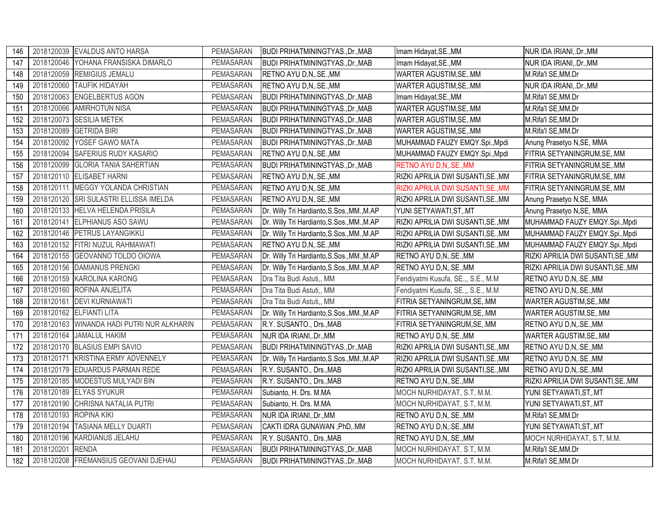| 146 |            | 2018120039 EVALDUS ANTO HARSA              | PEMASARAN | <b>BUDI PRIHATMININGTYAS., Dr., MAB</b>    | Imam Hidayat, SE., MM              | NUR IDA IRIANI, Dr., MM            |
|-----|------------|--------------------------------------------|-----------|--------------------------------------------|------------------------------------|------------------------------------|
| 147 |            | 2018120046 YOHANA FRANSISKA DIMARLO        | PEMASARAN | <b>BUDI PRIHATMININGTYAS., Dr., MAB</b>    | Imam Hidayat, SE., MM              | NUR IDA IRIANI, .Dr., MM           |
| 148 |            | 2018120059 REMIGIUS JEMALU                 | PEMASARAN | RETNO AYU D,N,.SE., MM                     | WARTER AGUSTIM, SE, .MM            | M.Rifa'l SE, MM.Dr                 |
| 149 |            | 2018120060 TAUFIK HIDAYAH                  | PEMASARAN | RETNO AYU D, N, .SE., MM                   | WARTER AGUSTIM, SE, MM             | NUR IDA IRIANI, .Dr., MM           |
| 150 |            | 2018120063 ENGELBERTUS AGON                | PEMASARAN | BUDI PRIHATMININGTYAS., Dr., MAB           | Imam Hidayat, SE., MM              | M.Rifa'l SE, MM.Dr                 |
| 151 |            | 2018120066 AMIRHOTUN NISA                  | PEMASARAN | <b>BUDI PRIHATMININGTYAS., Dr., MAB</b>    | WARTER AGUSTIM, SE, MM             | M.Rifa'l SE, MM.Dr                 |
| 152 |            | 2018120073 SESILIA METEK                   | PEMASARAN | BUDI PRIHATMININGTYAS., Dr., MAB           | WARTER AGUSTIM, SE, MM             | M.Rifa'l SE, MM.Dr                 |
| 153 |            | 2018120089 GETRIDA BIRI                    | PEMASARAN | BUDI PRIHATMININGTYAS., Dr., MAB           | WARTER AGUSTIM, SE, MM             | M.Rifa'l SE, MM.Dr                 |
| 154 |            | 2018120092 YOSEF GAWO MATA                 | PEMASARAN | BUDI PRIHATMININGTYAS., Dr., MAB           | MUHAMMAD FAUZY EMQY.Spi., Mpdi     | Anung Prasetyo N, SE, MMA          |
| 155 |            | 2018120094 SAFERIUS RUDY KASARIO           | PEMASARAN | RETNO AYU D, N, .SE., MM                   | MUHAMMAD FAUZY EMQY.Spi., Mpdi     | FITRIA SETYANINGRUM, SE, MM        |
| 156 |            | 2018120099 GLORIA TANIA SAHERTIAN          | PEMASARAN | <b>BUDI PRIHATMININGTYAS., Dr., MAB</b>    | RETNO AYU D,N, .SE., MM            | FITRIA SETYANINGRUM, SE, MM        |
| 157 |            | 2018120110 ELISABET HARNI                  | PEMASARAN | RETNO AYU D, N, .SE., MM                   | RIZKI APRILIA DWI SUSANTI, SE., MM | FITRIA SETYANINGRUM, SE, MM        |
| 158 |            | 2018120111 MEGGY YOLANDA CHRISTIAN         | PEMASARAN | RETNO AYU D,N, SE., MM                     | RIZKI APRILIA DWI SUSANTI, SE., MM | FITRIA SETYANINGRUM, SE, MM        |
| 159 |            | 2018120120 SRI SULASTRI ELLISSA IMELDA     | PEMASARAN | RETNO AYU D,N, SE., MM                     | RIZKI APRILIA DWI SUSANTI, SE., MM | Anung Prasetyo N, SE, MMA          |
| 160 |            | 2018120133 HELVA HELENDA PRISILA           | PEMASARAN | Dr. Willy Tri Hardianto, S.Sos., MM., M.AP | YUNI SETYAWATI, ST, MT             | Anung Prasetyo N, SE, MMA          |
| 161 |            | 2018120141 ELPHIANUS ASO SAWU              | PEMASARAN | Dr. Willy Tri Hardianto, S.Sos., MM., M.AP | RIZKI APRILIA DWI SUSANTI, SE., MM | MUHAMMAD FAUZY EMQY.Spi., Mpdi     |
| 162 |            | 2018120146 PETRUS LAYANGIKKU               | PEMASARAN | Dr. Willy Tri Hardianto, S.Sos., MM., M.AP | RIZKI APRILIA DWI SUSANTI, SE., MM | MUHAMMAD FAUZY EMQY.Spi., Mpdi     |
| 163 |            | 2018120152 FITRI NUZUL RAHMAWATI           | PEMASARAN | RETNO AYU D,N, .SE., MM                    | RIZKI APRILIA DWI SUSANTI, SE., MM | MUHAMMAD FAUZY EMQY.Spi., Mpdi     |
| 164 |            | 2018120155 GEOVANNO TOLDO OIOWA            | PEMASARAN | Dr. Willy Tri Hardianto, S.Sos., MM., M.AP | RETNO AYU D,N,.SE.,MM              | RIZKI APRILIA DWI SUSANTI, SE., MM |
| 165 |            | 2018120156 DAMIANUS PRENGKI                | PEMASARAN | Dr. Willy Tri Hardianto, S.Sos., MM., M.AP | RETNO AYU D,N, SE., MM             | RIZKI APRILIA DWI SUSANTI, SE., MM |
| 166 |            | 2018120159 KAROLINA KARONG                 | PEMASARAN | Dra Tita Budi Astuti,, MM                  | Fendiyatmi Kusufa, SE.,, S.E., M.M | RETNO AYU D,N,.SE., MM             |
| 167 |            | 2018120160 ROFINA ANJELITA                 | PEMASARAN | Dra Tita Budi Astuti,, MM                  | Fendiyatmi Kusufa, SE.,, S.E., M.M | RETNO AYU D,N,.SE.,MM              |
| 168 |            | 2018120161 DEVI KURNIAWATI                 | PEMASARAN | Dra Tita Budi Astuti,, MM                  | FITRIA SETYANINGRUM, SE, MM        | WARTER AGUSTIM, SE, MM             |
| 169 |            | 2018120162 ELFIANTI LITA                   | PEMASARAN | Dr. Willy Tri Hardianto, S.Sos., MM., M.AP | FITRIA SETYANINGRUM, SE, MM        | WARTER AGUSTIM, SE, MM             |
| 170 |            | 2018120163 WINANDA HADI PUTRI NUR ALKHARIN | PEMASARAN | R.Y. SUSANTO., Drs., MAB                   | FITRIA SETYANINGRUM, SE, MM        | RETNO AYU D,N,.SE., MM             |
| 171 |            | 2018120164 JAMALUL HAKIM                   | PEMASARAN | NUR IDA IRIANI, .Dr., MM                   | RETNO AYU D,N,.SE., MM             | WARTER AGUSTIM, SE, MM             |
| 172 |            | 2018120170 BLASIUS EMPI SAVIO              | PEMASARAN | <b>BUDI PRIHATMININGTYAS., Dr., MAB</b>    | RIZKI APRILIA DWI SUSANTI, SE., MM | RETNO AYU D,N,.SE., MM             |
| 173 | 2018120171 | KRISTINA ERMY ADVENNELY                    | PEMASARAN | Dr. Willy Tri Hardianto, S.Sos., MM., M.AP | RIZKI APRILIA DWI SUSANTI, SE., MM | RETNO AYU D,N, SE., MM             |
| 174 |            | 2018120179 EDUARDUS PARMAN REDE            | PEMASARAN | R.Y. SUSANTO., Drs., MAB                   | RIZKI APRILIA DWI SUSANTI, SE., MM | RETNO AYU D,N,.SE., MM             |
| 175 |            | 2018120185 MODESTUS MULYADI BIN            | PEMASARAN | R.Y. SUSANTO., Drs., MAB                   | RETNO AYU D,N,.SE., MM             | RIZKI APRILIA DWI SUSANTI, SE., MM |
| 176 |            | 2018120189 ELYAS SYUKUR                    | PEMASARAN | Subianto, H. Drs. M.MA                     | MOCH NURHIDAYAT, S.T, M.M.         | YUNI SETYAWATI, ST, .MT            |
| 177 |            | 2018120190 CHRISNA NATALIA PUTRI           | PEMASARAN | Subianto, H. Drs. M.MA                     | MOCH NURHIDAYAT, S.T, M.M.         | YUNI SETYAWATI, ST, .MT            |
| 178 |            | 2018120193 ROPINA KIKI                     | PEMASARAN | NUR IDA IRIANI, Dr., MM                    | RETNO AYU D,N, .SE., MM            | M.Rifa'l SE, MM.Dr                 |
| 179 | 2018120194 | <b>TASIANA MELLY DUARTI</b>                | PEMASARAN | CAKTI IDRA GUNAWAN, PhD, MM                | RETNO AYU D,N,.SE.,MM              | YUNI SETYAWATI, ST, .MT            |
| 180 |            | 2018120196 KARDIANUS JELAHU                | PEMASARAN | R.Y. SUSANTO., Drs., MAB                   | RETNO AYU D,N, .SE., MM            | MOCH NURHIDAYAT, S.T, M.M.         |
| 181 | 2018120201 | <b>RENDA</b>                               | PEMASARAN | BUDI PRIHATMININGTYAS., Dr., MAB           | MOCH NURHIDAYAT, S.T, M.M.         | M.Rifa'l SE, MM.Dr                 |
| 182 |            | 2018120208 FREMANSIUS GEOVANI DJEHAU       | PEMASARAN | <b>BUDI PRIHATMININGTYAS., Dr., MAB</b>    | MOCH NURHIDAYAT, S.T, M.M.         | M.Rifa'l SE, MM.Dr                 |